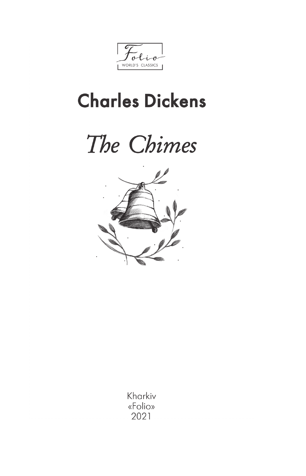$\mathfrak{o}$ WORLD'S CLASSICS

## **Charles Dickens**





Kharkiv «Folio» 2021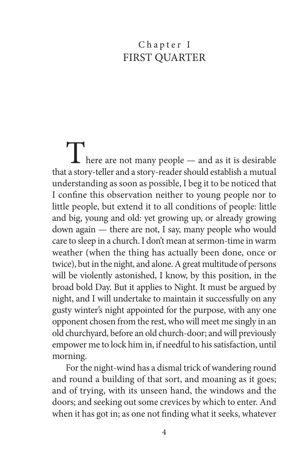## Chapter I FIRST OUARTER

 $\prod$  here are not many people — and as it is desirable that a story-teller and a story-reader should establish a mutual understanding as soon as possible, I beg it to be noticed that I confine this observation neither to young people nor to little people, but extend it to all conditions of people: little and big, young and old: yet growing up, or already growing down again — there are not, I say, many people who would care to sleep in a church. I don't mean at sermon-time in warm weather (when the thing has actually been done, once or twice), but in the night, and alone. A great multitude of persons will be violently astonished, I know, by this position, in the broad bold Day. But it applies to Night. It must be argued by night, and I will undertake to maintain it successfully on any gusty winter's night appointed for the purpose, with any one opponent chosen from the rest, who will meet me singly in an old churchyard, before an old church-door; and will previously empower me to lock him in, if needful to his satisfaction, until morning.

For the night-wind has a dismal trick of wandering round and round a building of that sort, and moaning as it goes; and of trying, with its unseen hand, the windows and the doors; and seeking out some crevices by which to enter. And when it has got in; as one not finding what it seeks, whatever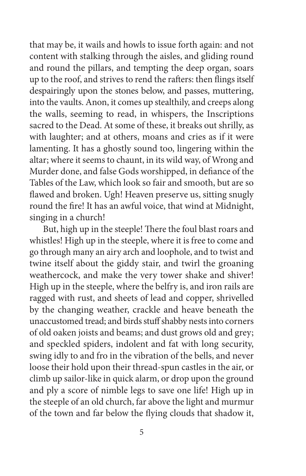that may be, it wails and howls to issue forth again: and not content with stalking through the aisles, and gliding round and round the pillars, and tempting the deep organ, soars up to the roof, and strives to rend the rafters: then flings itself despairingly upon the stones below, and passes, muttering, into the vaults. Anon, it comes up stealthily, and creeps along the walls, seeming to read, in whispers, the Inscriptions sacred to the Dead. At some of these, it breaks out shrilly, as with laughter; and at others, moans and cries as if it were lamenting. It has a ghostly sound too, lingering within the altar; where it seems to chaunt, in its wild way, of Wrong and Murder done, and false Gods worshipped, in defiance of the Tables of the Law, which look so fair and smooth, but are so flawed and broken. Ugh! Heaven preserve us, sitting snugly round the fire! It has an awful voice, that wind at Midnight, singing in a church!

But, high up in the steeple! There the foul blast roars and whistles! High up in the steeple, where it is free to come and go through many an airy arch and loophole, and to twist and twine itself about the giddy stair, and twirl the groaning weathercock, and make the very tower shake and shiver! High up in the steeple, where the belfry is, and iron rails are ragged with rust, and sheets of lead and copper, shrivelled by the changing weather, crackle and heave beneath the unaccustomed tread; and birds stuff shabby nests into corners of old oaken joists and beams; and dust grows old and grey; and speckled spiders, indolent and fat with long security, swing idly to and fro in the vibration of the bells, and never loose their hold upon their thread-spun castles in the air, or climb up sailor-like in quick alarm, or drop upon the ground and ply a score of nimble legs to save one life! High up in the steeple of an old church, far above the light and murmur of the town and far below the flying clouds that shadow it,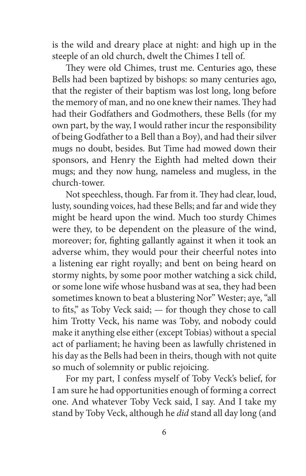is the wild and dreary place at night: and high up in the steeple of an old church, dwelt the Chimes I tell of.

They were old Chimes, trust me. Centuries ago, these Bells had been baptized by bishops: so many centuries ago, that the register of their baptism was lost long, long before the memory of man, and no one knew their names. They had had their Godfathers and Godmothers, these Bells (for my own part, by the way, I would rather incur the responsibility of being Godfather to a Bell than a Boy), and had their silver mugs no doubt, besides. But Time had mowed down their sponsors, and Henry the Eighth had melted down their mugs; and they now hung, nameless and mugless, in the church-tower.

Not speechless, though. Far from it. They had clear, loud, lusty, sounding voices, had these Bells; and far and wide they might be heard upon the wind. Much too sturdy Chimes were they, to be dependent on the pleasure of the wind, moreover; for, fighting gallantly against it when it took an adverse whim, they would pour their cheerful notes into a listening ear right royally; and bent on being heard on stormy nights, by some poor mother watching a sick child, or some lone wife whose husband was at sea, they had been sometimes known to beat a blustering Nor" Wester; aye, "all to fits," as Toby Veck said; — for though they chose to call him Trotty Veck, his name was Toby, and nobody could make it anything else either (except Tobias) without a special act of parliament; he having been as lawfully christened in his day as the Bells had been in theirs, though with not quite so much of solemnity or public rejoicing.

For my part, I confess myself of Toby Veck's belief, for I am sure he had opportunities enough of forming a correct one. And whatever Toby Veck said, I say. And I take my stand by Toby Veck, although he *did* stand all day long (and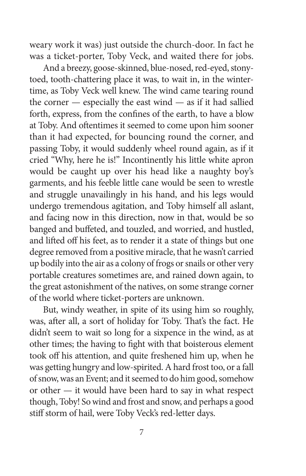weary work it was) just outside the church-door. In fact he was a ticket-porter, Toby Veck, and waited there for jobs.

And a breezy, goose-skinned, blue-nosed, red-eyed, stonytoed, tooth-chattering place it was, to wait in, in the wintertime, as Toby Veck well knew. The wind came tearing round the corner  $-$  especially the east wind  $-$  as if it had sallied forth, express, from the confines of the earth, to have a blow at Toby. And oftentimes it seemed to come upon him sooner than it had expected, for bouncing round the corner, and passing Toby, it would suddenly wheel round again, as if it cried "Why, here he is!" Incontinently his little white apron would be caught up over his head like a naughty boy's garments, and his feeble little cane would be seen to wrestle and struggle unavailingly in his hand, and his legs would undergo tremendous agitation, and Toby himself all aslant, and facing now in this direction, now in that, would be so banged and buffeted, and touzled, and worried, and hustled, and lifted off his feet, as to render it a state of things but one degree removed from a positive miracle, that he wasn't carried up bodily into the air as a colony of frogs or snails or other very portable creatures sometimes are, and rained down again, to the great astonishment of the natives, on some strange corner of the world where ticket-porters are unknown.

But, windy weather, in spite of its using him so roughly, was, after all, a sort of holiday for Toby. That's the fact. He didn't seem to wait so long for a sixpence in the wind, as at other times; the having to fight with that boisterous element took off his attention, and quite freshened him up, when he was getting hungry and low-spirited. A hard frost too, or a fall of snow, was an Event; and it seemed to do him good, somehow or other — it would have been hard to say in what respect though, Toby! So wind and frost and snow, and perhaps a good stiff storm of hail, were Toby Veck's red-letter days.